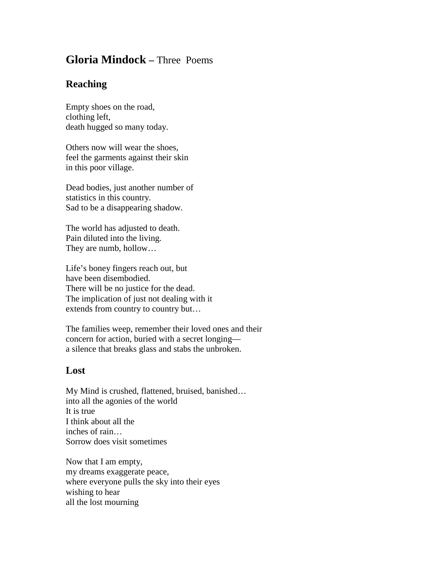## **Gloria Mindock –** Three Poems

## **Reaching**

Empty shoes on the road, clothing left, death hugged so many today.

Others now will wear the shoes, feel the garments against their skin in this poor village.

Dead bodies, just another number of statistics in this country. Sad to be a disappearing shadow.

The world has adjusted to death. Pain diluted into the living. They are numb, hollow…

Life's boney fingers reach out, but have been disembodied. There will be no justice for the dead. The implication of just not dealing with it extends from country to country but…

The families weep, remember their loved ones and their concern for action, buried with a secret longing a silence that breaks glass and stabs the unbroken.

## **Lost**

My Mind is crushed, flattened, bruised, banished… into all the agonies of the world It is true I think about all the inches of rain… Sorrow does visit sometimes

Now that I am empty, my dreams exaggerate peace, where everyone pulls the sky into their eyes wishing to hear all the lost mourning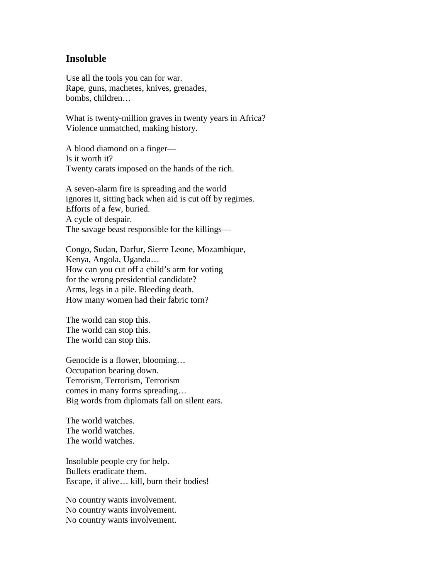## **Insoluble**

Use all the tools you can for war. Rape, guns, machetes, knives, grenades, bombs, children…

What is twenty-million graves in twenty years in Africa? Violence unmatched, making history.

A blood diamond on a finger— Is it worth it? Twenty carats imposed on the hands of the rich.

A seven-alarm fire is spreading and the world ignores it, sitting back when aid is cut off by regimes. Efforts of a few, buried. A cycle of despair. The savage beast responsible for the killings—

Congo, Sudan, Darfur, Sierre Leone, Mozambique, Kenya, Angola, Uganda… How can you cut off a child's arm for voting for the wrong presidential candidate? Arms, legs in a pile. Bleeding death. How many women had their fabric torn?

The world can stop this. The world can stop this. The world can stop this.

Genocide is a flower, blooming… Occupation bearing down. Terrorism, Terrorism, Terrorism comes in many forms spreading… Big words from diplomats fall on silent ears.

The world watches. The world watches. The world watches.

Insoluble people cry for help. Bullets eradicate them. Escape, if alive… kill, burn their bodies!

No country wants involvement. No country wants involvement. No country wants involvement.